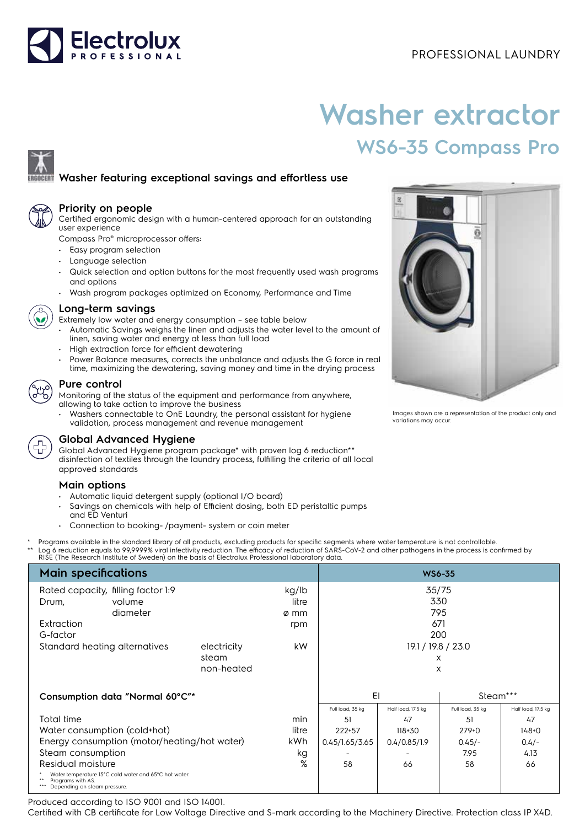

# **Washer extractor WS6-35 Compass Pro**

## **Washer featuring exceptional savings and effortless use**



#### **Priority on people**

Certified ergonomic design with a human-centered approach for an outstanding user experience

Compass Pro® microprocessor offers:

- Easy program selection
- Language selection
- Quick selection and option buttons for the most frequently used wash programs and options
- Wash program packages optimized on Economy, Performance and Time



#### **Long-term savings**

- Extremely low water and energy consumption see table below
- Automatic Savings weighs the linen and adjusts the water level to the amount of linen, saving water and energy at less than full load
- High extraction force for efficient dewatering
- Power Balance measures, corrects the unbalance and adjusts the G force in real time, maximizing the dewatering, saving money and time in the drying process

#### **Pure control**

Monitoring of the status of the equipment and performance from anywhere, allowing to take action to improve the business

• Washers connectable to OnE Laundry, the personal assistant for hygiene validation, process management and revenue management



### **Global Advanced Hygiene**

Global Advanced Hygiene program package\* with proven log 6 reduction\*\* disinfection of textiles through the laundry process, fulfilling the criteria of all local approved standards

#### **Main options**

- Automatic liquid detergent supply (optional I/O board)
- Savings on chemicals with help of Efficient dosing, both ED peristaltic pumps and ED Venturi
- Connection to booking- /payment- system or coin meter
- Programs available in the standard library of all products, excluding products for specific segments where water temperature is not controllable.
- \*\* Log 6 reduction equals to 99,9999% viral infectivity reduction. The efficacy of reduction of SARS-CoV-2 and other pathogens in the process is confirmed by<br>RISE (The Research Institute of Sweden) on the basis of Electrol

| <b>Main specifications</b>                                                                                 | <b>WS6-35</b> |       |                    |                    |                  |                    |
|------------------------------------------------------------------------------------------------------------|---------------|-------|--------------------|--------------------|------------------|--------------------|
| Rated capacity, filling factor 1:9<br>kg/lb                                                                |               |       | 35/75              |                    |                  |                    |
| Drum,<br>volume                                                                                            |               | litre |                    |                    | 330              |                    |
| diameter                                                                                                   |               | ø mm  |                    |                    | 795              |                    |
| Extraction                                                                                                 |               | rpm   |                    | 671                |                  |                    |
| G-factor                                                                                                   |               |       |                    | 200                |                  |                    |
| Standard heating alternatives<br>electricity                                                               |               | kW.   | 19.1 / 19.8 / 23.0 |                    |                  |                    |
|                                                                                                            | steam         |       |                    |                    | X                |                    |
|                                                                                                            | non-heated    |       |                    |                    | X                |                    |
|                                                                                                            |               |       |                    |                    |                  |                    |
| Consumption data "Normal 60°C"*                                                                            |               |       | EI                 |                    | Steam***         |                    |
|                                                                                                            |               |       | Full load, 35 kg   | Half load, 17.5 kg | Full load, 35 kg | Half load, 17.5 kg |
| Total time                                                                                                 |               | min   | .51                | 47                 | 51               | 47                 |
| Water consumption (cold+hot)                                                                               |               |       | 222+57             | $118 + 30$         | $279+0$          | $148 + 0$          |
| Energy consumption (motor/heating/hot water)                                                               |               |       | 0.45/1.65/3.65     | 0.4/0.85/1.9       | $0.45/-$         | $0.4/-$            |
| Steam consumption                                                                                          |               |       |                    |                    | 7.95             | 4.13               |
| %<br>Residual moisture                                                                                     |               |       | 58                 | 66                 | 58               | 66                 |
| Water temperature 15°C cold water and 65°C hot water.<br>Programs with AS.<br>Depending on steam pressure. |               |       |                    |                    |                  |                    |

Produced according to ISO 9001 and ISO 14001.

Certified with CB certificate for Low Voltage Directive and S-mark according to the Machinery Directive. Protection class IP X4D.



Images shown are a representation of the product only and variations may occur.